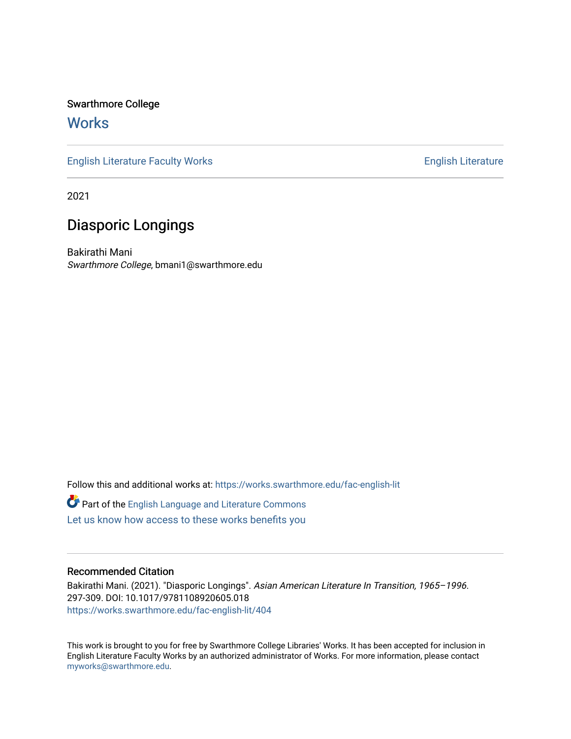Swarthmore College

# **Works**

[English Literature Faculty Works](https://works.swarthmore.edu/fac-english-lit) **English Literature** English Literature

2021

# Diasporic Longings

Bakirathi Mani Swarthmore College, bmani1@swarthmore.edu

Follow this and additional works at: [https://works.swarthmore.edu/fac-english-lit](https://works.swarthmore.edu/fac-english-lit?utm_source=works.swarthmore.edu%2Ffac-english-lit%2F404&utm_medium=PDF&utm_campaign=PDFCoverPages) Part of the [English Language and Literature Commons](http://network.bepress.com/hgg/discipline/455?utm_source=works.swarthmore.edu%2Ffac-english-lit%2F404&utm_medium=PDF&utm_campaign=PDFCoverPages) [Let us know how access to these works benefits you](https://forms.gle/4MB8mE2GywC5965J8) 

## Recommended Citation

Bakirathi Mani. (2021). "Diasporic Longings". Asian American Literature In Transition, 1965–1996. 297-309. DOI: 10.1017/9781108920605.018 <https://works.swarthmore.edu/fac-english-lit/404>

This work is brought to you for free by Swarthmore College Libraries' Works. It has been accepted for inclusion in English Literature Faculty Works by an authorized administrator of Works. For more information, please contact [myworks@swarthmore.edu.](mailto:myworks@swarthmore.edu)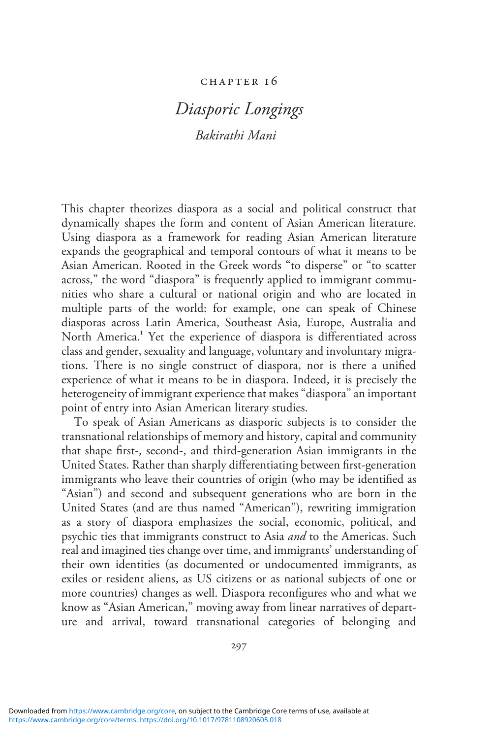### chapter 1 6

# Diasporic Longings Bakirathi Mani

This chapter theorizes diaspora as a social and political construct that dynamically shapes the form and content of Asian American literature. Using diaspora as a framework for reading Asian American literature expands the geographical and temporal contours of what it means to be Asian American. Rooted in the Greek words "to disperse" or "to scatter across," the word "diaspora" is frequently applied to immigrant communities who share a cultural or national origin and who are located in multiple parts of the world: for example, one can speak of Chinese diasporas across Latin America, Southeast Asia, Europe, Australia and North America.<sup>1</sup> Yet the experience of diaspora is differentiated across class and gender, sexuality and language, voluntary and involuntary migrations. There is no single construct of diaspora, nor is there a unified experience of what it means to be in diaspora. Indeed, it is precisely the heterogeneity of immigrant experience that makes "diaspora" an important point of entry into Asian American literary studies.

To speak of Asian Americans as diasporic subjects is to consider the transnational relationships of memory and history, capital and community that shape first-, second-, and third-generation Asian immigrants in the United States. Rather than sharply differentiating between first-generation immigrants who leave their countries of origin (who may be identified as "Asian") and second and subsequent generations who are born in the United States (and are thus named "American"), rewriting immigration as a story of diaspora emphasizes the social, economic, political, and psychic ties that immigrants construct to Asia and to the Americas. Such real and imagined ties change over time, and immigrants' understanding of their own identities (as documented or undocumented immigrants, as exiles or resident aliens, as US citizens or as national subjects of one or more countries) changes as well. Diaspora reconfigures who and what we know as "Asian American," moving away from linear narratives of departure and arrival, toward transnational categories of belonging and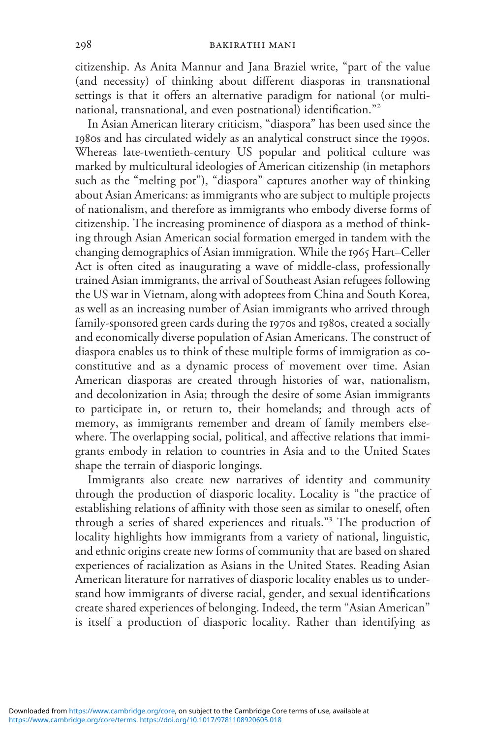citizenship. As Anita Mannur and Jana Braziel write, "part of the value (and necessity) of thinking about different diasporas in transnational settings is that it offers an alternative paradigm for national (or multinational, transnational, and even postnational) identification." 2

In Asian American literary criticism, "diaspora" has been used since the 1980s and has circulated widely as an analytical construct since the 1990s. Whereas late-twentieth-century US popular and political culture was marked by multicultural ideologies of American citizenship (in metaphors such as the "melting pot"), "diaspora" captures another way of thinking about Asian Americans: as immigrants who are subject to multiple projects of nationalism, and therefore as immigrants who embody diverse forms of citizenship. The increasing prominence of diaspora as a method of thinking through Asian American social formation emerged in tandem with the changing demographics of Asian immigration. While the 1965 Hart–Celler Act is often cited as inaugurating a wave of middle-class, professionally trained Asian immigrants, the arrival of Southeast Asian refugees following the US war in Vietnam, along with adoptees from China and South Korea, as well as an increasing number of Asian immigrants who arrived through family-sponsored green cards during the 1970s and 1980s, created a socially and economically diverse population of Asian Americans. The construct of diaspora enables us to think of these multiple forms of immigration as coconstitutive and as a dynamic process of movement over time. Asian American diasporas are created through histories of war, nationalism, and decolonization in Asia; through the desire of some Asian immigrants to participate in, or return to, their homelands; and through acts of memory, as immigrants remember and dream of family members elsewhere. The overlapping social, political, and affective relations that immigrants embody in relation to countries in Asia and to the United States shape the terrain of diasporic longings.

Immigrants also create new narratives of identity and community through the production of diasporic locality. Locality is "the practice of establishing relations of affinity with those seen as similar to oneself, often through a series of shared experiences and rituals." <sup>3</sup> The production of locality highlights how immigrants from a variety of national, linguistic, and ethnic origins create new forms of community that are based on shared experiences of racialization as Asians in the United States. Reading Asian American literature for narratives of diasporic locality enables us to understand how immigrants of diverse racial, gender, and sexual identifications create shared experiences of belonging. Indeed, the term "Asian American" is itself a production of diasporic locality. Rather than identifying as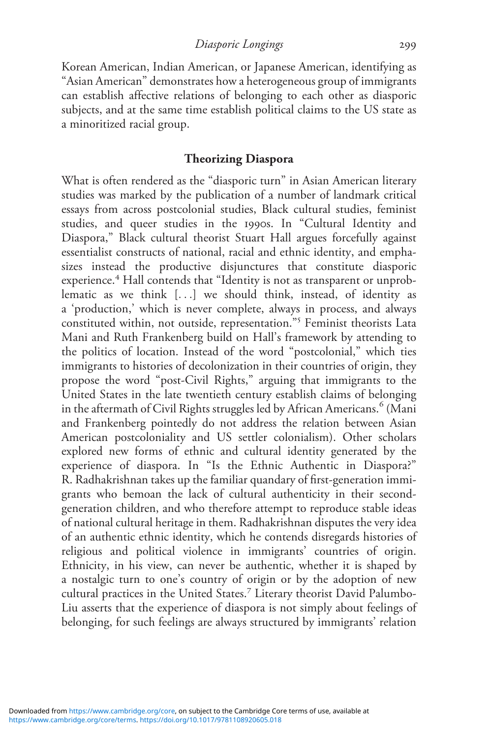Diasporic Longings 299

Korean American, Indian American, or Japanese American, identifying as "Asian American" demonstrates how a heterogeneous group of immigrants can establish affective relations of belonging to each other as diasporic subjects, and at the same time establish political claims to the US state as a minoritized racial group.

#### Theorizing Diaspora

What is often rendered as the "diasporic turn" in Asian American literary studies was marked by the publication of a number of landmark critical essays from across postcolonial studies, Black cultural studies, feminist studies, and queer studies in the 1990s. In "Cultural Identity and Diaspora," Black cultural theorist Stuart Hall argues forcefully against essentialist constructs of national, racial and ethnic identity, and emphasizes instead the productive disjunctures that constitute diasporic experience.<sup>4</sup> Hall contends that "Identity is not as transparent or unproblematic as we think [...] we should think, instead, of identity as a 'production,' which is never complete, always in process, and always constituted within, not outside, representation." <sup>5</sup> Feminist theorists Lata Mani and Ruth Frankenberg build on Hall's framework by attending to the politics of location. Instead of the word "postcolonial," which ties immigrants to histories of decolonization in their countries of origin, they propose the word "post-Civil Rights," arguing that immigrants to the United States in the late twentieth century establish claims of belonging in the aftermath of Civil Rights struggles led by African Americans.<sup>6</sup> (Mani and Frankenberg pointedly do not address the relation between Asian American postcoloniality and US settler colonialism). Other scholars explored new forms of ethnic and cultural identity generated by the experience of diaspora. In "Is the Ethnic Authentic in Diaspora?" R. Radhakrishnan takes up the familiar quandary of first-generation immigrants who bemoan the lack of cultural authenticity in their secondgeneration children, and who therefore attempt to reproduce stable ideas of national cultural heritage in them. Radhakrishnan disputes the very idea of an authentic ethnic identity, which he contends disregards histories of religious and political violence in immigrants' countries of origin. Ethnicity, in his view, can never be authentic, whether it is shaped by a nostalgic turn to one's country of origin or by the adoption of new cultural practices in the United States.<sup>7</sup> Literary theorist David Palumbo-Liu asserts that the experience of diaspora is not simply about feelings of belonging, for such feelings are always structured by immigrants' relation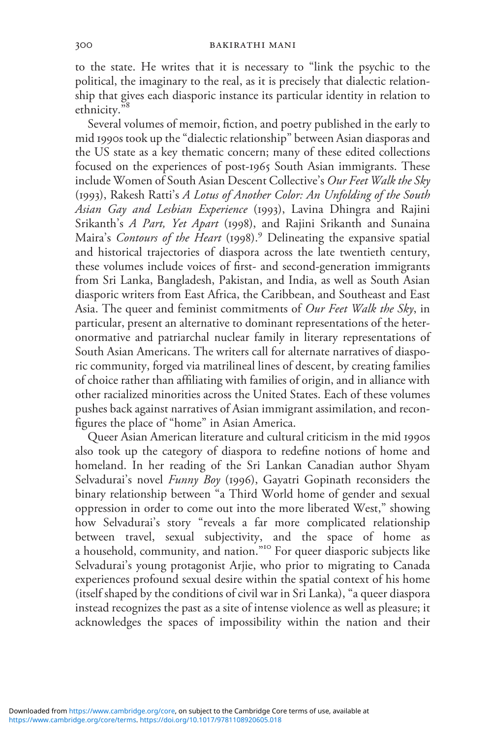to the state. He writes that it is necessary to "link the psychic to the political, the imaginary to the real, as it is precisely that dialectic relationship that gives each diasporic instance its particular identity in relation to ethnicity." 8

Several volumes of memoir, fiction, and poetry published in the early to mid 1990s took up the "dialectic relationship" between Asian diasporas and the US state as a key thematic concern; many of these edited collections focused on the experiences of post-1965 South Asian immigrants. These include Women of South Asian Descent Collective's Our Feet Walk the Sky (1993), Rakesh Ratti's A Lotus of Another Color: An Unfolding of the South Asian Gay and Lesbian Experience (1993), Lavina Dhingra and Rajini Srikanth's A Part, Yet Apart (1998), and Rajini Srikanth and Sunaina Maira's Contours of the Heart (1998).<sup>9</sup> Delineating the expansive spatial and historical trajectories of diaspora across the late twentieth century, these volumes include voices of first- and second-generation immigrants from Sri Lanka, Bangladesh, Pakistan, and India, as well as South Asian diasporic writers from East Africa, the Caribbean, and Southeast and East Asia. The queer and feminist commitments of Our Feet Walk the Sky, in particular, present an alternative to dominant representations of the heteronormative and patriarchal nuclear family in literary representations of South Asian Americans. The writers call for alternate narratives of diasporic community, forged via matrilineal lines of descent, by creating families of choice rather than affiliating with families of origin, and in alliance with other racialized minorities across the United States. Each of these volumes pushes back against narratives of Asian immigrant assimilation, and reconfigures the place of "home" in Asian America.

Queer Asian American literature and cultural criticism in the mid 1990s also took up the category of diaspora to redefine notions of home and homeland. In her reading of the Sri Lankan Canadian author Shyam Selvadurai's novel Funny Boy (1996), Gayatri Gopinath reconsiders the binary relationship between "a Third World home of gender and sexual oppression in order to come out into the more liberated West," showing how Selvadurai's story "reveals a far more complicated relationship between travel, sexual subjectivity, and the space of home as a household, community, and nation." <sup>10</sup> For queer diasporic subjects like Selvadurai's young protagonist Arjie, who prior to migrating to Canada experiences profound sexual desire within the spatial context of his home (itself shaped by the conditions of civil war in Sri Lanka), "a queer diaspora instead recognizes the past as a site of intense violence as well as pleasure; it acknowledges the spaces of impossibility within the nation and their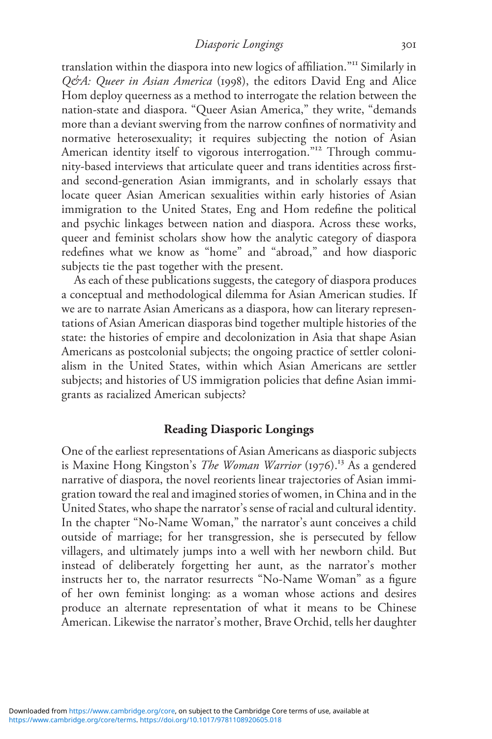Diasporic Longings 301

translation within the diaspora into new logics of affiliation."<sup>11</sup> Similarly in Q&A: Queer in Asian America (1998), the editors David Eng and Alice Hom deploy queerness as a method to interrogate the relation between the nation-state and diaspora. "Queer Asian America," they write, "demands more than a deviant swerving from the narrow confines of normativity and normative heterosexuality; it requires subjecting the notion of Asian American identity itself to vigorous interrogation."<sup>12</sup> Through community-based interviews that articulate queer and trans identities across firstand second-generation Asian immigrants, and in scholarly essays that locate queer Asian American sexualities within early histories of Asian immigration to the United States, Eng and Hom redefine the political and psychic linkages between nation and diaspora. Across these works, queer and feminist scholars show how the analytic category of diaspora redefines what we know as "home" and "abroad," and how diasporic subjects tie the past together with the present.

As each of these publications suggests, the category of diaspora produces a conceptual and methodological dilemma for Asian American studies. If we are to narrate Asian Americans as a diaspora, how can literary representations of Asian American diasporas bind together multiple histories of the state: the histories of empire and decolonization in Asia that shape Asian Americans as postcolonial subjects; the ongoing practice of settler colonialism in the United States, within which Asian Americans are settler subjects; and histories of US immigration policies that define Asian immigrants as racialized American subjects?

### Reading Diasporic Longings

One of the earliest representations of Asian Americans as diasporic subjects is Maxine Hong Kingston's *The Woman Warrior* (1976).<sup>13</sup> As a gendered narrative of diaspora, the novel reorients linear trajectories of Asian immigration toward the real and imagined stories of women, in China and in the United States, who shape the narrator's sense of racial and cultural identity. In the chapter "No-Name Woman," the narrator's aunt conceives a child outside of marriage; for her transgression, she is persecuted by fellow villagers, and ultimately jumps into a well with her newborn child. But instead of deliberately forgetting her aunt, as the narrator's mother instructs her to, the narrator resurrects "No-Name Woman" as a figure of her own feminist longing: as a woman whose actions and desires produce an alternate representation of what it means to be Chinese American. Likewise the narrator's mother, Brave Orchid, tells her daughter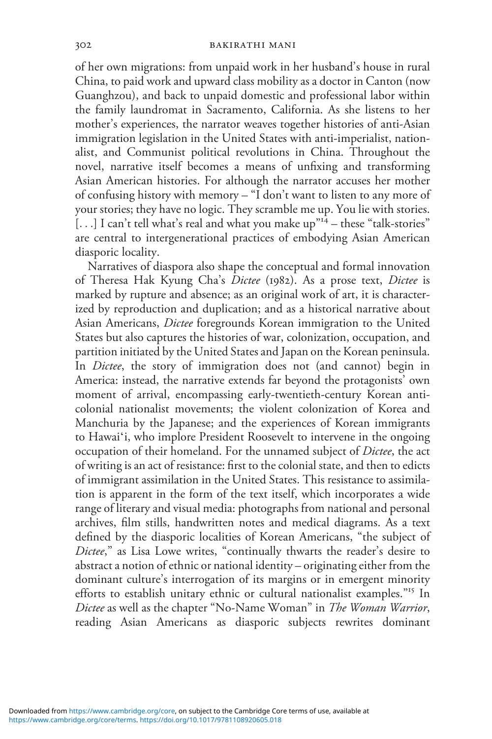of her own migrations: from unpaid work in her husband's house in rural China, to paid work and upward class mobility as a doctor in Canton (now Guanghzou), and back to unpaid domestic and professional labor within the family laundromat in Sacramento, California. As she listens to her mother's experiences, the narrator weaves together histories of anti-Asian immigration legislation in the United States with anti-imperialist, nationalist, and Communist political revolutions in China. Throughout the novel, narrative itself becomes a means of unfixing and transforming Asian American histories. For although the narrator accuses her mother of confusing history with memory – "I don't want to listen to any more of your stories; they have no logic. They scramble me up. You lie with stories. . . .] I can't tell what's real and what you make up"<sup>14</sup> – these "talk-stories" are central to intergenerational practices of embodying Asian American diasporic locality.

Narratives of diaspora also shape the conceptual and formal innovation of Theresa Hak Kyung Cha's Dictee (1982). As a prose text, Dictee is marked by rupture and absence; as an original work of art, it is characterized by reproduction and duplication; and as a historical narrative about Asian Americans, Dictee foregrounds Korean immigration to the United States but also captures the histories of war, colonization, occupation, and partition initiated by the United States and Japan on the Korean peninsula. In *Dictee*, the story of immigration does not (and cannot) begin in America: instead, the narrative extends far beyond the protagonists' own moment of arrival, encompassing early-twentieth-century Korean anticolonial nationalist movements; the violent colonization of Korea and Manchuria by the Japanese; and the experiences of Korean immigrants to Hawaiʻi, who implore President Roosevelt to intervene in the ongoing occupation of their homeland. For the unnamed subject of Dictee, the act of writing is an act of resistance: first to the colonial state, and then to edicts of immigrant assimilation in the United States. This resistance to assimilation is apparent in the form of the text itself, which incorporates a wide range of literary and visual media: photographs from national and personal archives, film stills, handwritten notes and medical diagrams. As a text defined by the diasporic localities of Korean Americans, "the subject of Dictee," as Lisa Lowe writes, "continually thwarts the reader's desire to abstract a notion of ethnic or national identity – originating either from the dominant culture's interrogation of its margins or in emergent minority efforts to establish unitary ethnic or cultural nationalist examples."<sup>15</sup> In Dictee as well as the chapter "No-Name Woman" in The Woman Warrior, reading Asian Americans as diasporic subjects rewrites dominant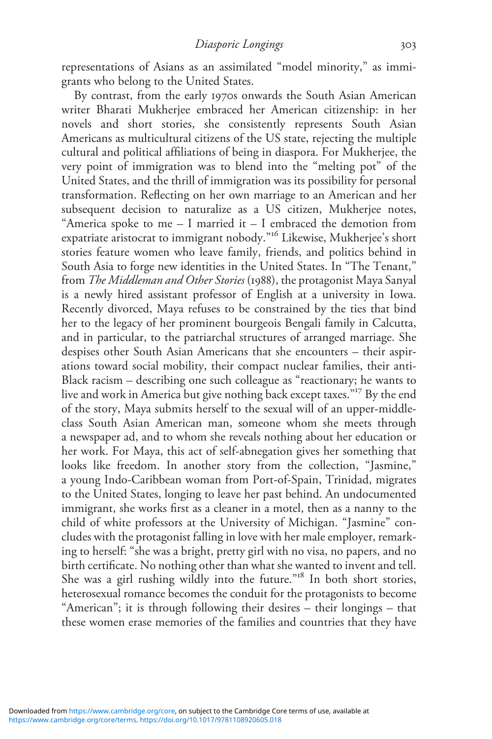representations of Asians as an assimilated "model minority," as immigrants who belong to the United States.

By contrast, from the early 1970s onwards the South Asian American writer Bharati Mukherjee embraced her American citizenship: in her novels and short stories, she consistently represents South Asian Americans as multicultural citizens of the US state, rejecting the multiple cultural and political affiliations of being in diaspora. For Mukherjee, the very point of immigration was to blend into the "melting pot" of the United States, and the thrill of immigration was its possibility for personal transformation. Reflecting on her own marriage to an American and her subsequent decision to naturalize as a US citizen, Mukherjee notes, "America spoke to me – I married it – I embraced the demotion from expatriate aristocrat to immigrant nobody." <sup>16</sup> Likewise, Mukherjee's short stories feature women who leave family, friends, and politics behind in South Asia to forge new identities in the United States. In "The Tenant," from The Middleman and Other Stories (1988), the protagonist Maya Sanyal is a newly hired assistant professor of English at a university in Iowa. Recently divorced, Maya refuses to be constrained by the ties that bind her to the legacy of her prominent bourgeois Bengali family in Calcutta, and in particular, to the patriarchal structures of arranged marriage. She despises other South Asian Americans that she encounters – their aspirations toward social mobility, their compact nuclear families, their anti-Black racism – describing one such colleague as "reactionary; he wants to live and work in America but give nothing back except taxes." <sup>17</sup> By the end of the story, Maya submits herself to the sexual will of an upper-middleclass South Asian American man, someone whom she meets through a newspaper ad, and to whom she reveals nothing about her education or her work. For Maya, this act of self-abnegation gives her something that looks like freedom. In another story from the collection, "Jasmine," a young Indo-Caribbean woman from Port-of-Spain, Trinidad, migrates to the United States, longing to leave her past behind. An undocumented immigrant, she works first as a cleaner in a motel, then as a nanny to the child of white professors at the University of Michigan. "Jasmine" concludes with the protagonist falling in love with her male employer, remarking to herself: "she was a bright, pretty girl with no visa, no papers, and no birth certificate. No nothing other than what she wanted to invent and tell. She was a girl rushing wildly into the future."<sup>18</sup> In both short stories, heterosexual romance becomes the conduit for the protagonists to become "American"; it is through following their desires – their longings – that these women erase memories of the families and countries that they have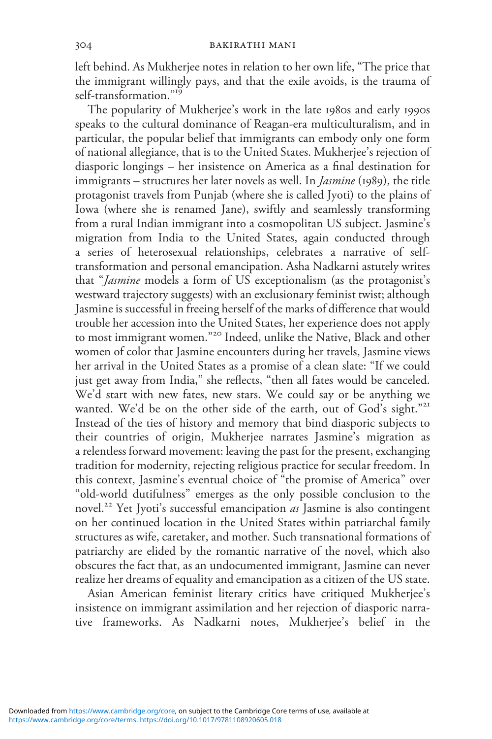left behind. As Mukherjee notes in relation to her own life, "The price that the immigrant willingly pays, and that the exile avoids, is the trauma of self-transformation."<sup>19</sup>

The popularity of Mukherjee's work in the late 1980s and early 1990s speaks to the cultural dominance of Reagan-era multiculturalism, and in particular, the popular belief that immigrants can embody only one form of national allegiance, that is to the United States. Mukherjee's rejection of diasporic longings – her insistence on America as a final destination for immigrants – structures her later novels as well. In *Jasmine* (1989), the title protagonist travels from Punjab (where she is called Jyoti) to the plains of Iowa (where she is renamed Jane), swiftly and seamlessly transforming from a rural Indian immigrant into a cosmopolitan US subject. Jasmine's migration from India to the United States, again conducted through a series of heterosexual relationships, celebrates a narrative of selftransformation and personal emancipation. Asha Nadkarni astutely writes that "Jasmine models a form of US exceptionalism (as the protagonist's westward trajectory suggests) with an exclusionary feminist twist; although Jasmine is successful in freeing herself of the marks of difference that would trouble her accession into the United States, her experience does not apply to most immigrant women." <sup>20</sup> Indeed, unlike the Native, Black and other women of color that Jasmine encounters during her travels, Jasmine views her arrival in the United States as a promise of a clean slate: "If we could just get away from India," she reflects, "then all fates would be canceled. We'd start with new fates, new stars. We could say or be anything we wanted. We'd be on the other side of the earth, out of God's sight."<sup>21</sup> Instead of the ties of history and memory that bind diasporic subjects to their countries of origin, Mukherjee narrates Jasmine's migration as a relentless forward movement: leaving the past for the present, exchanging tradition for modernity, rejecting religious practice for secular freedom. In this context, Jasmine's eventual choice of "the promise of America" over "old-world dutifulness" emerges as the only possible conclusion to the novel.<sup>22</sup> Yet Jyoti's successful emancipation as Jasmine is also contingent on her continued location in the United States within patriarchal family structures as wife, caretaker, and mother. Such transnational formations of patriarchy are elided by the romantic narrative of the novel, which also obscures the fact that, as an undocumented immigrant, Jasmine can never realize her dreams of equality and emancipation as a citizen of the US state.

Asian American feminist literary critics have critiqued Mukherjee's insistence on immigrant assimilation and her rejection of diasporic narrative frameworks. As Nadkarni notes, Mukherjee's belief in the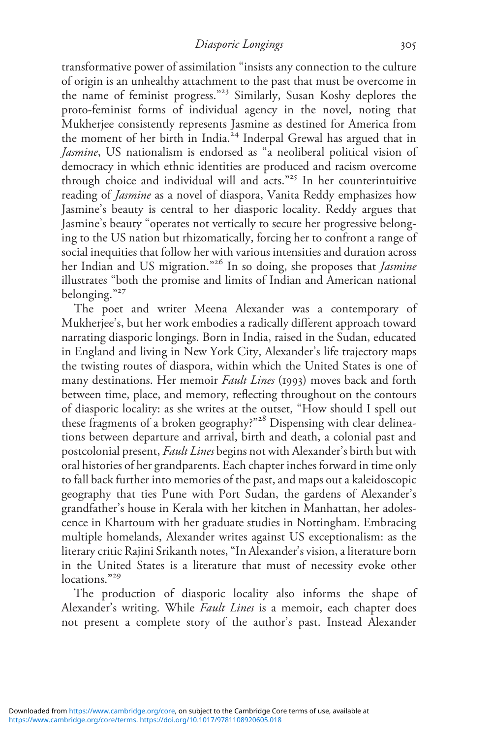Diasporic Longings 305

transformative power of assimilation "insists any connection to the culture of origin is an unhealthy attachment to the past that must be overcome in the name of feminist progress." <sup>23</sup> Similarly, Susan Koshy deplores the proto-feminist forms of individual agency in the novel, noting that Mukherjee consistently represents Jasmine as destined for America from the moment of her birth in India.<sup>24</sup> Inderpal Grewal has argued that in Jasmine, US nationalism is endorsed as "a neoliberal political vision of democracy in which ethnic identities are produced and racism overcome through choice and individual will and acts." <sup>25</sup> In her counterintuitive reading of Jasmine as a novel of diaspora, Vanita Reddy emphasizes how Jasmine's beauty is central to her diasporic locality. Reddy argues that Jasmine's beauty "operates not vertically to secure her progressive belonging to the US nation but rhizomatically, forcing her to confront a range of social inequities that follow her with various intensities and duration across her Indian and US migration."<sup>26</sup> In so doing, she proposes that *Jasmine* illustrates "both the promise and limits of Indian and American national belonging." 27

The poet and writer Meena Alexander was a contemporary of Mukherjee's, but her work embodies a radically different approach toward narrating diasporic longings. Born in India, raised in the Sudan, educated in England and living in New York City, Alexander's life trajectory maps the twisting routes of diaspora, within which the United States is one of many destinations. Her memoir Fault Lines (1993) moves back and forth between time, place, and memory, reflecting throughout on the contours of diasporic locality: as she writes at the outset, "How should I spell out these fragments of a broken geography?" <sup>28</sup> Dispensing with clear delineations between departure and arrival, birth and death, a colonial past and postcolonial present, Fault Lines begins not with Alexander's birth but with oral histories of her grandparents. Each chapter inches forward in time only to fall back further into memories of the past, and maps out a kaleidoscopic geography that ties Pune with Port Sudan, the gardens of Alexander's grandfather's house in Kerala with her kitchen in Manhattan, her adolescence in Khartoum with her graduate studies in Nottingham. Embracing multiple homelands, Alexander writes against US exceptionalism: as the literary critic Rajini Srikanth notes, "In Alexander's vision, a literature born in the United States is a literature that must of necessity evoke other locations."<sup>29</sup>

The production of diasporic locality also informs the shape of Alexander's writing. While Fault Lines is a memoir, each chapter does not present a complete story of the author's past. Instead Alexander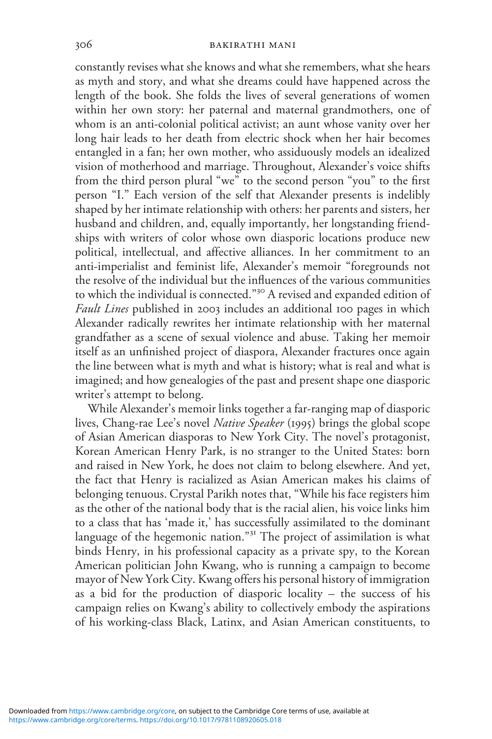constantly revises what she knows and what she remembers, what she hears as myth and story, and what she dreams could have happened across the length of the book. She folds the lives of several generations of women within her own story: her paternal and maternal grandmothers, one of whom is an anti-colonial political activist; an aunt whose vanity over her long hair leads to her death from electric shock when her hair becomes entangled in a fan; her own mother, who assiduously models an idealized vision of motherhood and marriage. Throughout, Alexander's voice shifts from the third person plural "we" to the second person "you" to the first person "I." Each version of the self that Alexander presents is indelibly shaped by her intimate relationship with others: her parents and sisters, her husband and children, and, equally importantly, her longstanding friendships with writers of color whose own diasporic locations produce new political, intellectual, and affective alliances. In her commitment to an anti-imperialist and feminist life, Alexander's memoir "foregrounds not the resolve of the individual but the influences of the various communities to which the individual is connected." <sup>30</sup> A revised and expanded edition of Fault Lines published in 2003 includes an additional 100 pages in which Alexander radically rewrites her intimate relationship with her maternal grandfather as a scene of sexual violence and abuse. Taking her memoir itself as an unfinished project of diaspora, Alexander fractures once again the line between what is myth and what is history; what is real and what is imagined; and how genealogies of the past and present shape one diasporic writer's attempt to belong.

While Alexander's memoir links together a far-ranging map of diasporic lives, Chang-rae Lee's novel Native Speaker (1995) brings the global scope of Asian American diasporas to New York City. The novel's protagonist, Korean American Henry Park, is no stranger to the United States: born and raised in New York, he does not claim to belong elsewhere. And yet, the fact that Henry is racialized as Asian American makes his claims of belonging tenuous. Crystal Parikh notes that, "While his face registers him as the other of the national body that is the racial alien, his voice links him to a class that has 'made it,' has successfully assimilated to the dominant language of the hegemonic nation." <sup>31</sup> The project of assimilation is what binds Henry, in his professional capacity as a private spy, to the Korean American politician John Kwang, who is running a campaign to become mayor of New York City. Kwang offers his personal history of immigration as a bid for the production of diasporic locality – the success of his campaign relies on Kwang's ability to collectively embody the aspirations of his working-class Black, Latinx, and Asian American constituents, to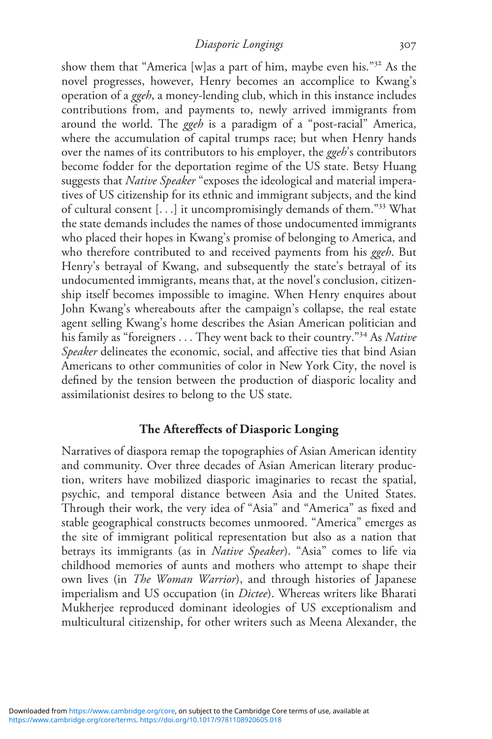show them that "America [w]as a part of him, maybe even his." <sup>32</sup> As the novel progresses, however, Henry becomes an accomplice to Kwang's operation of a ggeh, a money-lending club, which in this instance includes contributions from, and payments to, newly arrived immigrants from around the world. The ggeh is a paradigm of a "post-racial" America, where the accumulation of capital trumps race; but when Henry hands over the names of its contributors to his employer, the ggeh's contributors become fodder for the deportation regime of the US state. Betsy Huang suggests that Native Speaker "exposes the ideological and material imperatives of US citizenship for its ethnic and immigrant subjects, and the kind of cultural consent [...] it uncompromisingly demands of them."<sup>33</sup> What the state demands includes the names of those undocumented immigrants who placed their hopes in Kwang's promise of belonging to America, and who therefore contributed to and received payments from his ggeh. But Henry's betrayal of Kwang, and subsequently the state's betrayal of its undocumented immigrants, means that, at the novel's conclusion, citizenship itself becomes impossible to imagine. When Henry enquires about John Kwang's whereabouts after the campaign's collapse, the real estate agent selling Kwang's home describes the Asian American politician and his family as "foreigners . . . They went back to their country."<sup>34</sup> As Native Speaker delineates the economic, social, and affective ties that bind Asian Americans to other communities of color in New York City, the novel is defined by the tension between the production of diasporic locality and assimilationist desires to belong to the US state.

### The Aftereffects of Diasporic Longing

Narratives of diaspora remap the topographies of Asian American identity and community. Over three decades of Asian American literary production, writers have mobilized diasporic imaginaries to recast the spatial, psychic, and temporal distance between Asia and the United States. Through their work, the very idea of "Asia" and "America" as fixed and stable geographical constructs becomes unmoored. "America" emerges as the site of immigrant political representation but also as a nation that betrays its immigrants (as in Native Speaker). "Asia" comes to life via childhood memories of aunts and mothers who attempt to shape their own lives (in *The Woman Warrior*), and through histories of Japanese imperialism and US occupation (in *Dictee*). Whereas writers like Bharati Mukherjee reproduced dominant ideologies of US exceptionalism and multicultural citizenship, for other writers such as Meena Alexander, the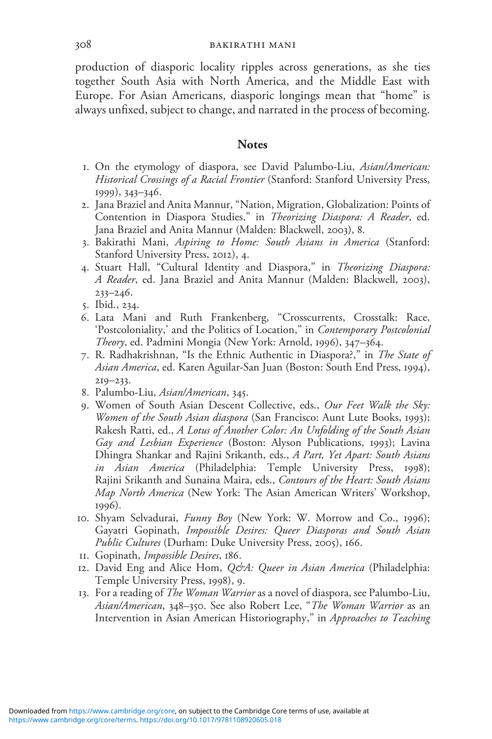production of diasporic locality ripples across generations, as she ties together South Asia with North America, and the Middle East with Europe. For Asian Americans, diasporic longings mean that "home" is always unfixed, subject to change, and narrated in the process of becoming.

#### **Notes**

- 1. On the etymology of diaspora, see David Palumbo-Liu, Asian/American: Historical Crossings of a Racial Frontier (Stanford: Stanford University Press, 1999), 343–346.
- 2. Jana Braziel and Anita Mannur, "Nation, Migration, Globalization: Points of Contention in Diaspora Studies," in Theorizing Diaspora: A Reader, ed. Jana Braziel and Anita Mannur (Malden: Blackwell, 2003), 8.
- 3. Bakirathi Mani, Aspiring to Home: South Asians in America (Stanford: Stanford University Press, 2012), 4.
- 4. Stuart Hall, "Cultural Identity and Diaspora," in Theorizing Diaspora: A Reader, ed. Jana Braziel and Anita Mannur (Malden: Blackwell, 2003),  $233 - 246.$
- 5. Ibid., 234.
- 6. Lata Mani and Ruth Frankenberg, "Crosscurrents, Crosstalk: Race, 'Postcoloniality,' and the Politics of Location," in Contemporary Postcolonial Theory, ed. Padmini Mongia (New York: Arnold, 1996), 347–364.
- 7. R. Radhakrishnan, "Is the Ethnic Authentic in Diaspora?," in The State of Asian America, ed. Karen Aguilar-San Juan (Boston: South End Press, 1994), 219–233.
- 8. Palumbo-Liu, Asian/American, 345.
- 9. Women of South Asian Descent Collective, eds., Our Feet Walk the Sky: Women of the South Asian diaspora (San Francisco: Aunt Lute Books, 1993); Rakesh Ratti, ed., A Lotus of Another Color: An Unfolding of the South Asian Gay and Lesbian Experience (Boston: Alyson Publications, 1993); Lavina Dhingra Shankar and Rajini Srikanth, eds., A Part, Yet Apart: South Asians in Asian America (Philadelphia: Temple University Press, 1998); Rajini Srikanth and Sunaina Maira, eds., Contours of the Heart: South Asians Map North America (New York: The Asian American Writers' Workshop, 1996).
- 10. Shyam Selvadurai, Funny Boy (New York: W. Morrow and Co., 1996); Gayatri Gopinath, Impossible Desires: Queer Diasporas and South Asian Public Cultures (Durham: Duke University Press, 2005), 166.
- 11. Gopinath, Impossible Desires, 186.
- 12. David Eng and Alice Hom, Q&A: Queer in Asian America (Philadelphia: Temple University Press, 1998), 9.
- 13. For a reading of *The Woman Warrior* as a novel of diaspora, see Palumbo-Liu, Asian/American, 348-350. See also Robert Lee, "The Woman Warrior as an Intervention in Asian American Historiography," in Approaches to Teaching